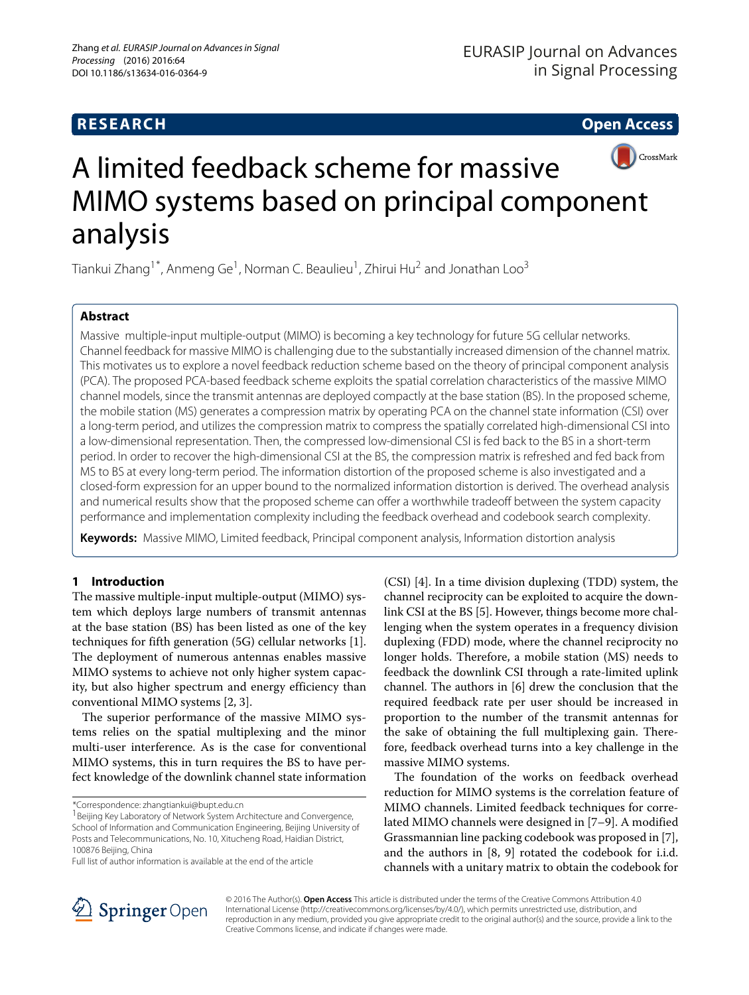## **RESEARCH Open Access**



# A limited feedback scheme for massive MIMO systems based on principal component analysis

Tiankui Zhang<sup>1\*</sup>, Anmeng Ge<sup>1</sup>, Norman C. Beaulieu<sup>1</sup>, Zhirui Hu<sup>2</sup> and Jonathan Loo<sup>3</sup>

## **Abstract**

Massive multiple-input multiple-output (MIMO) is becoming a key technology for future 5G cellular networks. Channel feedback for massive MIMO is challenging due to the substantially increased dimension of the channel matrix. This motivates us to explore a novel feedback reduction scheme based on the theory of principal component analysis (PCA). The proposed PCA-based feedback scheme exploits the spatial correlation characteristics of the massive MIMO channel models, since the transmit antennas are deployed compactly at the base station (BS). In the proposed scheme, the mobile station (MS) generates a compression matrix by operating PCA on the channel state information (CSI) over a long-term period, and utilizes the compression matrix to compress the spatially correlated high-dimensional CSI into a low-dimensional representation. Then, the compressed low-dimensional CSI is fed back to the BS in a short-term period. In order to recover the high-dimensional CSI at the BS, the compression matrix is refreshed and fed back from MS to BS at every long-term period. The information distortion of the proposed scheme is also investigated and a closed-form expression for an upper bound to the normalized information distortion is derived. The overhead analysis and numerical results show that the proposed scheme can offer a worthwhile tradeoff between the system capacity performance and implementation complexity including the feedback overhead and codebook search complexity.

**Keywords:** Massive MIMO, Limited feedback, Principal component analysis, Information distortion analysis

## **1 Introduction**

The massive multiple-input multiple-output (MIMO) system which deploys large numbers of transmit antennas at the base station (BS) has been listed as one of the key techniques for fifth generation (5G) cellular networks [\[1\]](#page-11-0). The deployment of numerous antennas enables massive MIMO systems to achieve not only higher system capacity, but also higher spectrum and energy efficiency than conventional MIMO systems [\[2,](#page-11-1) [3\]](#page-11-2).

The superior performance of the massive MIMO systems relies on the spatial multiplexing and the minor multi-user interference. As is the case for conventional MIMO systems, this in turn requires the BS to have perfect knowledge of the downlink channel state information

(CSI) [\[4\]](#page-11-3). In a time division duplexing (TDD) system, the channel reciprocity can be exploited to acquire the downlink CSI at the BS [\[5\]](#page-11-4). However, things become more challenging when the system operates in a frequency division duplexing (FDD) mode, where the channel reciprocity no longer holds. Therefore, a mobile station (MS) needs to feedback the downlink CSI through a rate-limited uplink channel. The authors in [\[6\]](#page-11-5) drew the conclusion that the required feedback rate per user should be increased in proportion to the number of the transmit antennas for the sake of obtaining the full multiplexing gain. Therefore, feedback overhead turns into a key challenge in the massive MIMO systems.

The foundation of the works on feedback overhead reduction for MIMO systems is the correlation feature of MIMO channels. Limited feedback techniques for correlated MIMO channels were designed in [\[7–](#page-11-6)[9\]](#page-11-7). A modified Grassmannian line packing codebook was proposed in [\[7\]](#page-11-6), and the authors in [\[8,](#page-11-8) [9\]](#page-11-7) rotated the codebook for i.i.d. channels with a unitary matrix to obtain the codebook for



© 2016 The Author(s). **Open Access** This article is distributed under the terms of the Creative Commons Attribution 4.0 International License [\(http://creativecommons.org/licenses/by/4.0/\)](http://creativecommons.org/licenses/by/4.0/), which permits unrestricted use, distribution, and reproduction in any medium, provided you give appropriate credit to the original author(s) and the source, provide a link to the Creative Commons license, and indicate if changes were made.

<sup>\*</sup>Correspondence: [zhangtiankui@bupt.edu.cn](mailto: zhangtiankui@bupt.edu.cn)

<sup>&</sup>lt;sup>1</sup> Beijing Key Laboratory of Network System Architecture and Convergence, School of Information and Communication Engineering, Beijing University of Posts and Telecommunications, No. 10, Xitucheng Road, Haidian District, 100876 Beijing, China

Full list of author information is available at the end of the article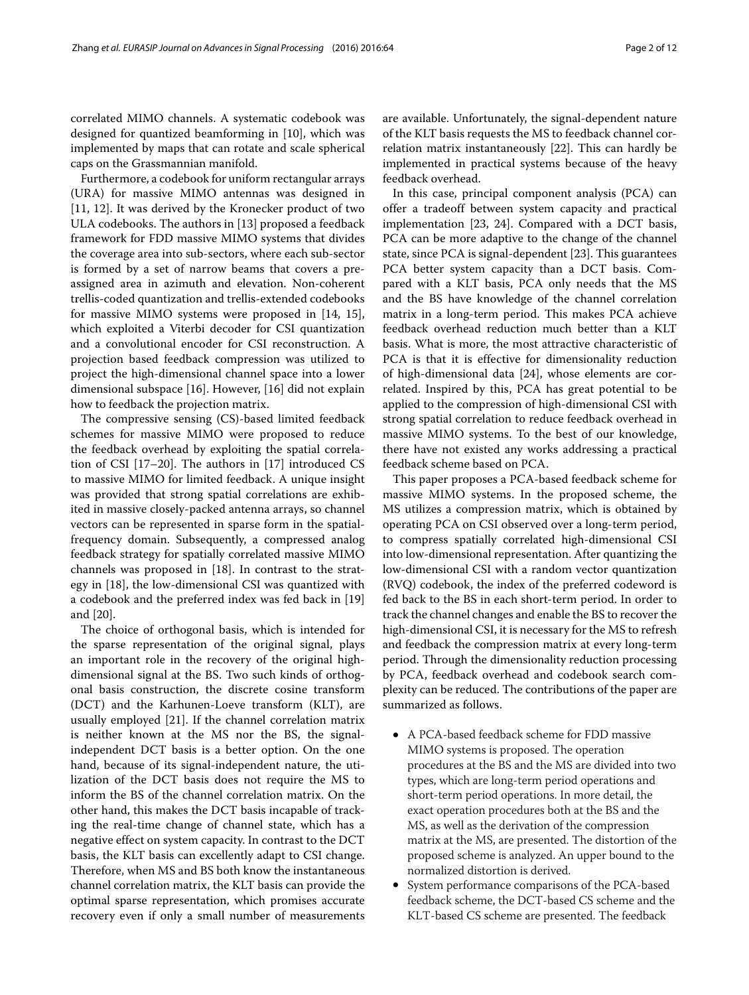correlated MIMO channels. A systematic codebook was designed for quantized beamforming in [\[10\]](#page-11-9), which was implemented by maps that can rotate and scale spherical caps on the Grassmannian manifold.

Furthermore, a codebook for uniform rectangular arrays (URA) for massive MIMO antennas was designed in [\[11,](#page-11-10) [12\]](#page-11-11). It was derived by the Kronecker product of two ULA codebooks. The authors in [\[13\]](#page-11-12) proposed a feedback framework for FDD massive MIMO systems that divides the coverage area into sub-sectors, where each sub-sector is formed by a set of narrow beams that covers a preassigned area in azimuth and elevation. Non-coherent trellis-coded quantization and trellis-extended codebooks for massive MIMO systems were proposed in [\[14,](#page-11-13) [15\]](#page-11-14), which exploited a Viterbi decoder for CSI quantization and a convolutional encoder for CSI reconstruction. A projection based feedback compression was utilized to project the high-dimensional channel space into a lower dimensional subspace [\[16\]](#page-11-15). However, [\[16\]](#page-11-15) did not explain how to feedback the projection matrix.

The compressive sensing (CS)-based limited feedback schemes for massive MIMO were proposed to reduce the feedback overhead by exploiting the spatial correlation of CSI [\[17](#page-11-16)[–20\]](#page-11-17). The authors in [\[17\]](#page-11-16) introduced CS to massive MIMO for limited feedback. A unique insight was provided that strong spatial correlations are exhibited in massive closely-packed antenna arrays, so channel vectors can be represented in sparse form in the spatialfrequency domain. Subsequently, a compressed analog feedback strategy for spatially correlated massive MIMO channels was proposed in [\[18\]](#page-11-18). In contrast to the strategy in [\[18\]](#page-11-18), the low-dimensional CSI was quantized with a codebook and the preferred index was fed back in [\[19\]](#page-11-19) and [\[20\]](#page-11-17).

The choice of orthogonal basis, which is intended for the sparse representation of the original signal, plays an important role in the recovery of the original highdimensional signal at the BS. Two such kinds of orthogonal basis construction, the discrete cosine transform (DCT) and the Karhunen-Loeve transform (KLT), are usually employed [\[21\]](#page-11-20). If the channel correlation matrix is neither known at the MS nor the BS, the signalindependent DCT basis is a better option. On the one hand, because of its signal-independent nature, the utilization of the DCT basis does not require the MS to inform the BS of the channel correlation matrix. On the other hand, this makes the DCT basis incapable of tracking the real-time change of channel state, which has a negative effect on system capacity. In contrast to the DCT basis, the KLT basis can excellently adapt to CSI change. Therefore, when MS and BS both know the instantaneous channel correlation matrix, the KLT basis can provide the optimal sparse representation, which promises accurate recovery even if only a small number of measurements are available. Unfortunately, the signal-dependent nature of the KLT basis requests the MS to feedback channel correlation matrix instantaneously [\[22\]](#page-11-21). This can hardly be implemented in practical systems because of the heavy feedback overhead.

In this case, principal component analysis (PCA) can offer a tradeoff between system capacity and practical implementation [\[23,](#page-11-22) [24\]](#page-11-23). Compared with a DCT basis, PCA can be more adaptive to the change of the channel state, since PCA is signal-dependent [\[23\]](#page-11-22). This guarantees PCA better system capacity than a DCT basis. Compared with a KLT basis, PCA only needs that the MS and the BS have knowledge of the channel correlation matrix in a long-term period. This makes PCA achieve feedback overhead reduction much better than a KLT basis. What is more, the most attractive characteristic of PCA is that it is effective for dimensionality reduction of high-dimensional data [\[24\]](#page-11-23), whose elements are correlated. Inspired by this, PCA has great potential to be applied to the compression of high-dimensional CSI with strong spatial correlation to reduce feedback overhead in massive MIMO systems. To the best of our knowledge, there have not existed any works addressing a practical feedback scheme based on PCA.

This paper proposes a PCA-based feedback scheme for massive MIMO systems. In the proposed scheme, the MS utilizes a compression matrix, which is obtained by operating PCA on CSI observed over a long-term period, to compress spatially correlated high-dimensional CSI into low-dimensional representation. After quantizing the low-dimensional CSI with a random vector quantization (RVQ) codebook, the index of the preferred codeword is fed back to the BS in each short-term period. In order to track the channel changes and enable the BS to recover the high-dimensional CSI, it is necessary for the MS to refresh and feedback the compression matrix at every long-term period. Through the dimensionality reduction processing by PCA, feedback overhead and codebook search complexity can be reduced. The contributions of the paper are summarized as follows.

- A PCA-based feedback scheme for FDD massive MIMO systems is proposed. The operation procedures at the BS and the MS are divided into two types, which are long-term period operations and short-term period operations. In more detail, the exact operation procedures both at the BS and the MS, as well as the derivation of the compression matrix at the MS, are presented. The distortion of the proposed scheme is analyzed. An upper bound to the normalized distortion is derived.
- System performance comparisons of the PCA-based feedback scheme, the DCT-based CS scheme and the KLT-based CS scheme are presented. The feedback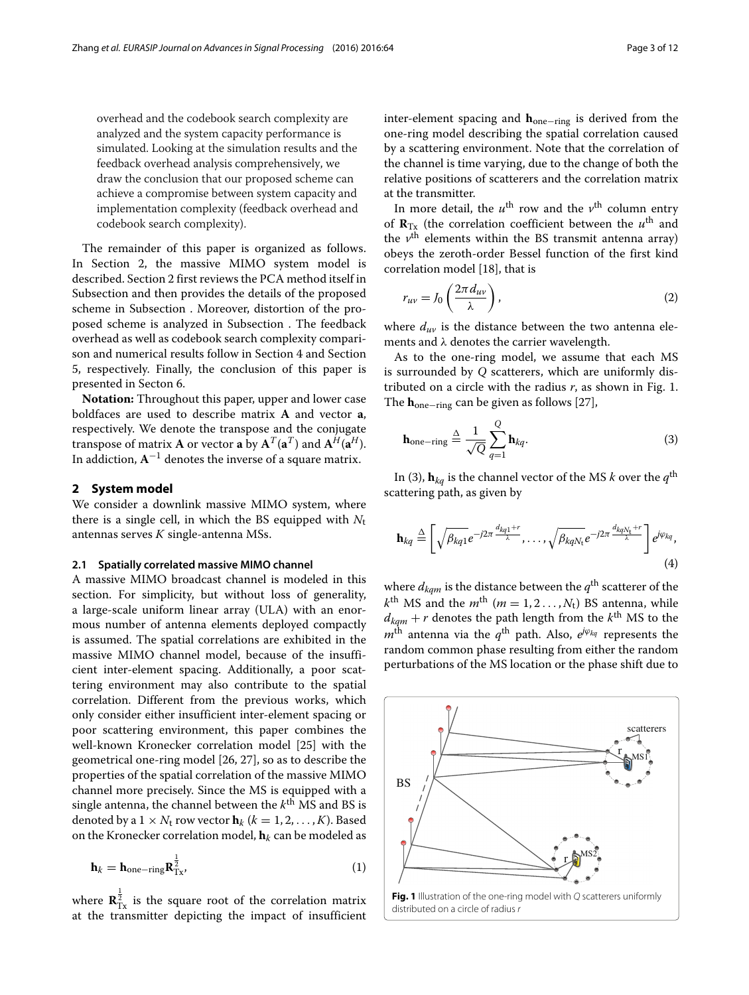overhead and the codebook search complexity are analyzed and the system capacity performance is simulated. Looking at the simulation results and the feedback overhead analysis comprehensively, we draw the conclusion that our proposed scheme can achieve a compromise between system capacity and implementation complexity (feedback overhead and codebook search complexity).

The remainder of this paper is organized as follows. In Section [2,](#page-2-0) the massive MIMO system model is described. Section [2](#page-2-0) first reviews the PCA method itself in Subsection and then provides the details of the proposed scheme in Subsection . Moreover, distortion of the proposed scheme is analyzed in Subsection . The feedback overhead as well as codebook search complexity comparison and numerical results follow in Section [4](#page-6-0) and Section [5,](#page-7-0) respectively. Finally, the conclusion of this paper is presented in Secton [6.](#page-8-0)

**Notation:** Throughout this paper, upper and lower case boldfaces are used to describe matrix **A** and vector **a**, respectively. We denote the transpose and the conjugate transpose of matrix **A** or vector **a** by  $A^T(a^T)$  and  $A^H(a^H)$ . In addiction,  $A^{-1}$  denotes the inverse of a square matrix.

#### <span id="page-2-0"></span>**2 System model**

We consider a downlink massive MIMO system, where there is a single cell, in which the BS equipped with  $N_t$ antennas serves *K* single-antenna MSs.

### **2.1 Spatially correlated massive MIMO channel**

A massive MIMO broadcast channel is modeled in this section. For simplicity, but without loss of generality, a large-scale uniform linear array (ULA) with an enormous number of antenna elements deployed compactly is assumed. The spatial correlations are exhibited in the massive MIMO channel model, because of the insufficient inter-element spacing. Additionally, a poor scattering environment may also contribute to the spatial correlation. Different from the previous works, which only consider either insufficient inter-element spacing or poor scattering environment, this paper combines the well-known Kronecker correlation model [\[25\]](#page-11-24) with the geometrical one-ring model [\[26,](#page-11-25) [27\]](#page-11-26), so as to describe the properties of the spatial correlation of the massive MIMO channel more precisely. Since the MS is equipped with a single antenna, the channel between the  $k<sup>th</sup>$  MS and BS is denoted by a  $1 \times N_t$  row vector  $\mathbf{h}_k$  ( $k = 1, 2, ..., K$ ). Based on the Kronecker correlation model, **h***<sup>k</sup>* can be modeled as

$$
\mathbf{h}_k = \mathbf{h}_{\text{one-ring}} \mathbf{R}_{\text{Tx}}^{\frac{1}{2}},\tag{1}
$$

where  $\mathbf{R}_{\text{Tx}}^{\frac{1}{2}}$  is the square root of the correlation matrix at the transmitter depicting the impact of insufficient inter-element spacing and **h**one−ring is derived from the one-ring model describing the spatial correlation caused by a scattering environment. Note that the correlation of the channel is time varying, due to the change of both the relative positions of scatterers and the correlation matrix at the transmitter.

In more detail, the  $u^{\text{th}}$  row and the  $v^{\text{th}}$  column entry of  $\mathbf{R}_{\text{Tx}}$  (the correlation coefficient between the  $u^{\text{th}}$  and the  $v<sup>th</sup>$  elements within the BS transmit antenna array) obeys the zeroth-order Bessel function of the first kind correlation model [\[18\]](#page-11-18), that is

$$
r_{uv} = J_0 \left(\frac{2\pi d_{uv}}{\lambda}\right),\tag{2}
$$

where  $d_{uv}$  is the distance between the two antenna elements and  $\lambda$  denotes the carrier wavelength.

As to the one-ring model, we assume that each MS is surrounded by *Q* scatterers, which are uniformly distributed on a circle with the radius *r*, as shown in Fig. [1.](#page-2-1) The **h**one−ring can be given as follows [\[27\]](#page-11-26),

<span id="page-2-2"></span>
$$
\mathbf{h}_{\text{one-ring}} \stackrel{\Delta}{=} \frac{1}{\sqrt{Q}} \sum_{q=1}^{Q} \mathbf{h}_{kq}.
$$
 (3)

In [\(3\)](#page-2-2),  $\mathbf{h}_{kq}$  is the channel vector of the MS *k* over the  $q^{\text{th}}$ scattering path, as given by

$$
\mathbf{h}_{kq} \triangleq \left[ \sqrt{\beta_{kq1}} e^{-j2\pi \frac{dk_{q1} + r}{\lambda}}, \dots, \sqrt{\beta_{kqN_t}} e^{-j2\pi \frac{dk_{qN_t} + r}{\lambda}} \right] e^{j\varphi_{kq}},
$$
\n(4)

where  $d_{kqm}$  is the distance between the  $q^{\text{th}}$  scatterer of the  $k^{\text{th}}$  MS and the  $m^{\text{th}}$  ( $m = 1, 2, ..., N_{\text{t}}$ ) BS antenna, while  $d_{\text{Kam}} + r$  denotes the path length from the  $k^{\text{th}}$  MS to the  $m<sup>th</sup>$  antenna via the  $q<sup>th</sup>$  path. Also,  $e^{j\varphi_{kq}}$  represents the random common phase resulting from either the random perturbations of the MS location or the phase shift due to

<span id="page-2-1"></span>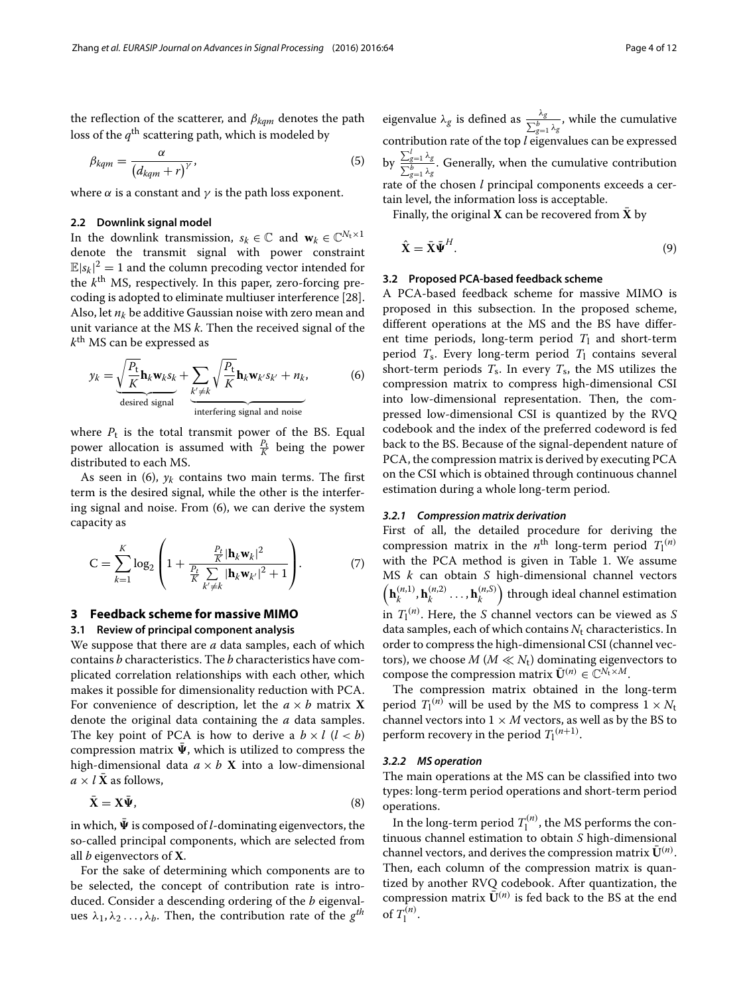the reflection of the scatterer, and β*kqm* denotes the path loss of the  $q^{\text{th}}$  scattering path, which is modeled by

$$
\beta_{kqm} = \frac{\alpha}{\left(d_{kqm} + r\right)^{\gamma}},\tag{5}
$$

where  $\alpha$  is a constant and  $\gamma$  is the path loss exponent.

#### **2.2 Downlink signal model**

In the downlink transmission,  $s_k \in \mathbb{C}$  and  $\mathbf{w}_k \in \mathbb{C}^{N_t \times 1}$ denote the transmit signal with power constraint  $\mathbb{E}|s_k|^2 = 1$  and the column precoding vector intended for the *k*th MS, respectively. In this paper, zero-forcing precoding is adopted to eliminate multiuser interference [\[28\]](#page-11-27). Also, let  $n_k$  be additive Gaussian noise with zero mean and unit variance at the MS *k*. Then the received signal of the *k*th MS can be expressed as

<span id="page-3-0"></span>
$$
y_k = \underbrace{\sqrt{\frac{P_{\rm t}}{K}} \mathbf{h}_k \mathbf{w}_k s_k}_{\text{desired signal}} + \underbrace{\sum_{k' \neq k} \sqrt{\frac{P_{\rm t}}{K}} \mathbf{h}_k \mathbf{w}_{k'} s_{k'} + n_k, \qquad (6)
$$

where  $P_t$  is the total transmit power of the BS. Equal power allocation is assumed with  $\frac{P_t}{K}$  being the power distributed to each MS.

As seen in [\(6\)](#page-3-0),  $y_k$  contains two main terms. The first term is the desired signal, while the other is the interfering signal and noise. From [\(6\)](#page-3-0), we can derive the system capacity as

$$
C = \sum_{k=1}^{K} \log_2 \left( 1 + \frac{\frac{P_t}{\overline{K}} |\mathbf{h}_k \mathbf{w}_k|^2}{\frac{P_t}{\overline{K}} \sum_{k' \neq k} |\mathbf{h}_k \mathbf{w}_{k'}|^2 + 1} \right).
$$
(7)

#### **3 Feedback scheme for massive MIMO**

#### **3.1 Review of principal component analysis**

We suppose that there are *a* data samples, each of which contains *b* characteristics. The *b* characteristics have complicated correlation relationships with each other, which makes it possible for dimensionality reduction with PCA. For convenience of description, let the  $a \times b$  matrix **X** denote the original data containing the *a* data samples. The key point of PCA is how to derive a  $b \times l$  ( $l < b$ ) compression matrix  $\Psi$ , which is utilized to compress the high-dimensional data  $a \times b$  **X** into a low-dimensional  $a \times l \bar{\mathbf{X}}$  as follows.

$$
\bar{\mathbf{X}} = \mathbf{X}\bar{\Psi},\tag{8}
$$

in which,  $\Psi$  is composed of *l-*dominating eigenvectors, the so-called principal components, which are selected from all *b* eigenvectors of **X**.

For the sake of determining which components are to be selected, the concept of contribution rate is introduced. Consider a descending ordering of the *b* eigenvalues  $\lambda_1, \lambda_2, \ldots, \lambda_b$ . Then, the contribution rate of the  $g^{th}$ 

eigenvalue  $\lambda_g$  is defined as  $\frac{\lambda_g}{\sum_{g=1}^b \lambda_g}$ , while the cumulative contribution rate of the top *l* eigenvalues can be expressed by  $\frac{\sum_{g=1}^{l} \lambda_g}{\sum_{g=1}^{l}}$  $\frac{\sum_{g=1}^{g-1} \cdot g}{\sum_{g=1}^{b} \lambda_g}$ . Generally, when the cumulative contribution rate of the chosen *l* principal components exceeds a certain level, the information loss is acceptable.

Finally, the original **X** can be recovered from  $\bar{\mathbf{X}}$  by

$$
\hat{\mathbf{X}} = \bar{\mathbf{X}} \bar{\mathbf{\Psi}}^H.
$$
\n(9)

#### **3.2 Proposed PCA-based feedback scheme**

A PCA-based feedback scheme for massive MIMO is proposed in this subsection. In the proposed scheme, different operations at the MS and the BS have different time periods, long-term period  $T_1$  and short-term period *T*<sub>s</sub>. Every long-term period *T*<sub>l</sub> contains several short-term periods  $T_s$ . In every  $T_s$ , the MS utilizes the compression matrix to compress high-dimensional CSI into low-dimensional representation. Then, the compressed low-dimensional CSI is quantized by the RVQ codebook and the index of the preferred codeword is fed back to the BS. Because of the signal-dependent nature of PCA, the compression matrix is derived by executing PCA on the CSI which is obtained through continuous channel estimation during a whole long-term period.

#### *3.2.1 Compression matrix derivation*

First of all, the detailed procedure for deriving the compression matrix in the  $n^{\text{th}}$  long-term period  $T_1^{(n)}$ with the PCA method is given in Table [1.](#page-4-0) We assume MS *k* can obtain *S* high-dimensional channel vectors  $\left(\mathbf{h}_k^{(n,1)}, \mathbf{h}_k^{(n,2)}\dots, \mathbf{h}_k^{(n,S)}\right)$  through ideal channel estimation in  $T_1^{(n)}$ . Here, the *S* channel vectors can be viewed as *S* data samples, each of which contains *N*<sup>t</sup> characteristics. In order to compress the high-dimensional CSI (channel vectors), we choose  $M$  ( $M \ll N_t$ ) dominating eigenvectors to compose the compression matrix  $\bar{\mathbf{U}}^{(n)} \in \mathbb{C}^{N_t \times M}$ .

The compression matrix obtained in the long-term period  $T_1^{(n)}$  will be used by the MS to compress  $1 \times N_t$ channel vectors into  $1 \times M$  vectors, as well as by the BS to perform recovery in the period  $T_{\rm l}^{(n+1)}.$ 

#### *3.2.2 MS operation*

The main operations at the MS can be classified into two types: long-term period operations and short-term period operations.

In the long-term period  $T_1^{(n)}$ , the MS performs the continuous channel estimation to obtain *S* high-dimensional channel vectors, and derives the compression matrix  $\bar{\mathbf{U}}^{(n)}$  . Then, each column of the compression matrix is quantized by another RVQ codebook. After quantization, the compression matrix  $\bar{\mathbf{U}}^{(n)}$  is fed back to the BS at the end of  $T_1^{(n)}$ .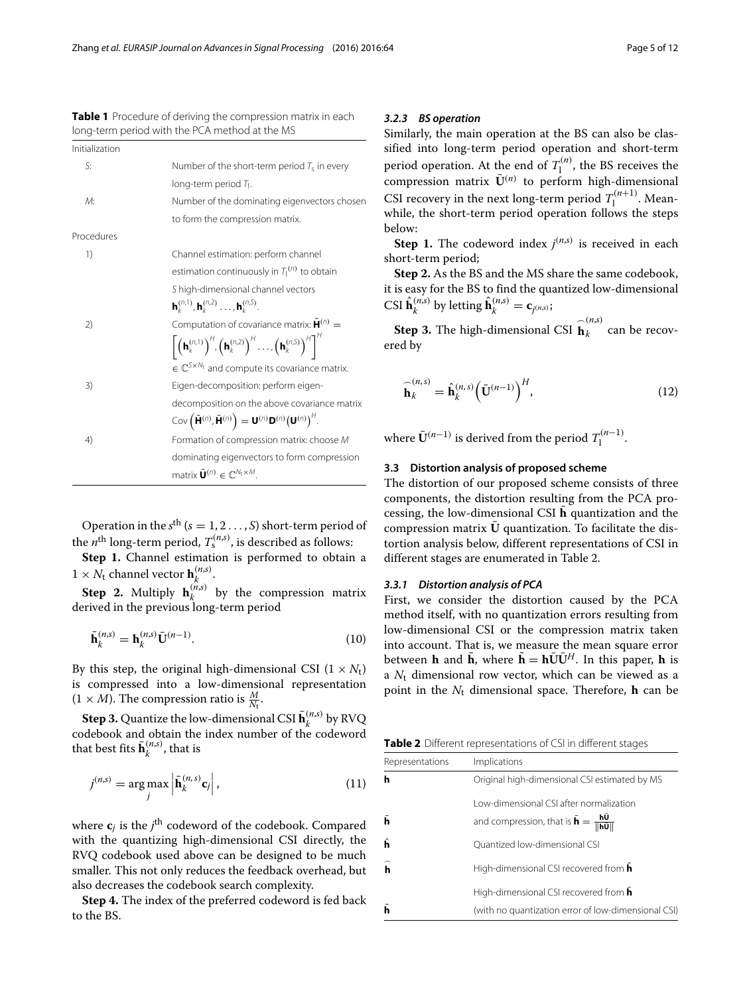| Initialization |                                                                                                                                      |
|----------------|--------------------------------------------------------------------------------------------------------------------------------------|
| S:             | Number of the short-term period $Ts$ in every                                                                                        |
|                | long-term period $T_1$ .                                                                                                             |
| M:             | Number of the dominating eigenvectors chosen                                                                                         |
|                | to form the compression matrix.                                                                                                      |
| Procedures     |                                                                                                                                      |
| 1)             | Channel estimation: perform channel                                                                                                  |
|                | estimation continuously in $T_1^{(n)}$ to obtain                                                                                     |
|                | S high-dimensional channel vectors                                                                                                   |
|                | $\mathbf{h}_{k}^{(n,1)}$ , $\mathbf{h}_{k}^{(n,2)}$ , $\mathbf{h}_{k}^{(n,5)}$ .                                                     |
| 2)             | Computation of covariance matrix: $\tilde{\mathbf{H}}^{(n)} =$                                                                       |
|                | $\left[\left(\mathbf{h}_k^{(n,1)}\right)^H, \left(\mathbf{h}_k^{(n,2)}\right)^H \dots, \left(\mathbf{h}_k^{(n,5)}\right)^H\right]^H$ |
|                | $\in \mathbb{C}^{5 \times N_t}$ and compute its covariance matrix.                                                                   |
| 3)             | Eigen-decomposition: perform eigen-                                                                                                  |
|                | decomposition on the above covariance matrix                                                                                         |
|                | Cov $(\tilde{H}^{(n)}, \tilde{H}^{(n)}) = U^{(n)} D^{(n)} (U^{(n)})^H$ .                                                             |
| 4)             | Formation of compression matrix: choose M                                                                                            |
|                | dominating eigenvectors to form compression                                                                                          |
|                | matrix $\bar{\mathbf{U}}^{(n)} \in \mathbb{C}^{N_{\mathrm{t}} \times M}$ .                                                           |
|                |                                                                                                                                      |

<span id="page-4-0"></span>**Table 1** Procedure of deriving the compression matrix in each long-term period with the PCA method at the MS

Operation in the  $s^{\text{th}}$   $(s = 1, 2, \ldots, S)$  short-term period of the *n*<sup>th</sup> long-term period,  $T_s^{(n,s)}$ , is described as follows:

**Step 1.** Channel estimation is performed to obtain a  $1 \times N_t$  channel vector  $\mathbf{h}_k^{(n,s)}$ .

**Step 2.** Multiply  $\mathbf{h}_k^{(n,s)}$  by the compression matrix derived in the previous long-term period

$$
\bar{\mathbf{h}}_k^{(n,s)} = \mathbf{h}_k^{(n,s)} \bar{\mathbf{U}}^{(n-1)}.
$$
\n(10)

By this step, the original high-dimensional CSI  $(1 \times N_t)$ is compressed into a low-dimensional representation  $(1 \times M)$ . The compression ratio is  $\frac{M}{N_t}$ .

 $\mathbf{Step\ 3.}$  Quantize the low-dimensional CSI  $\bar{\mathbf{h}}_k^{(n,s)}$  by RVQ codebook and obtain the index number of the codeword that best fits  $\bar{\mathbf{h}}_k^{(n,s)}$ , that is

$$
j^{(n,s)} = \underset{j}{\arg \max} \left| \bar{\mathbf{h}}_k^{(n,s)} \mathbf{c}_j \right|,\tag{11}
$$

where  $\mathbf{c}_j$  is the  $j^{\text{th}}$  codeword of the codebook. Compared with the quantizing high-dimensional CSI directly, the RVQ codebook used above can be designed to be much smaller. This not only reduces the feedback overhead, but also decreases the codebook search complexity.

**Step 4.** The index of the preferred codeword is fed back to the BS.

#### *3.2.3 BS operation*

Similarly, the main operation at the BS can also be classified into long-term period operation and short-term period operation. At the end of  $T_1^{(n)}$ , the BS receives the compression matrix  $\overline{\mathbf{U}}^{(n)}$  to perform high-dimensional CSI recovery in the next long-term period  $T_1^{(n+1)}$ . Meanwhile, the short-term period operation follows the steps below:

**Step 1.** The codeword index  $j^{(n,s)}$  is received in each short-term period;

**Step 2.** As the BS and the MS share the same codebook, it is easy for the BS to find the quantized low-dimensional CSI  $\hat{\mathbf{h}}_k^{(n,s)}$  by letting  $\hat{\mathbf{h}}_k^{(n,s)} = \mathbf{c}_{j^{(n,s)}}$ ;

**Step 3.** The high-dimensional CSI **h** (*n*,*s*)  $\alpha$ <sup>*k*</sup> can be recovered by

$$
\widehat{\mathbf{h}}_{k}^{(n,s)} = \widehat{\mathbf{h}}_{k}^{(n,s)} \left(\overline{\mathbf{U}}^{(n-1)}\right)^{H},\tag{12}
$$

where  $\bar{\mathbf{U}}^{(n-1)}$  is derived from the period  $T_1^{(n-1)}$ .

#### <span id="page-4-2"></span>**3.3 Distortion analysis of proposed scheme**

The distortion of our proposed scheme consists of three components, the distortion resulting from the PCA processing, the low-dimensional CSI **h** quantization and the compression matrix  $\bar{U}$  quantization. To facilitate the distortion analysis below, different representations of CSI in different stages are enumerated in Table [2.](#page-4-1)

#### *3.3.1 Distortion analysis of PCA*

First, we consider the distortion caused by the PCA method itself, with no quantization errors resulting from low-dimensional CSI or the compression matrix taken into account. That is, we measure the mean square error between **h** and  $\tilde{\mathbf{h}}$ , where  $\tilde{\mathbf{h}} = \mathbf{h}\overline{\mathbf{U}}\overline{\mathbf{U}}^H$ . In this paper, **h** is a *N*<sup>t</sup> dimensional row vector, which can be viewed as a point in the *N*<sup>t</sup> dimensional space. Therefore, **h** can be

<span id="page-4-1"></span>**Table 2** Different representations of CSI in different stages

| Representations | Implications                                                                                              |  |
|-----------------|-----------------------------------------------------------------------------------------------------------|--|
| h               | Original high-dimensional CSI estimated by MS                                                             |  |
|                 | Low-dimensional CSL after normalization                                                                   |  |
| ĥ               | and compression, that is $\bar{\mathbf{h}} = \frac{\mathbf{h}\mathbf{U}}{\ \mathbf{h}\bar{\mathbf{U}}\ }$ |  |
| ĥ               | Ouantized low-dimensional CSI                                                                             |  |
| h               | High-dimensional CSI recovered from h                                                                     |  |
|                 | High-dimensional CSI recovered from h                                                                     |  |
|                 | (with no quantization error of low-dimensional CSI)                                                       |  |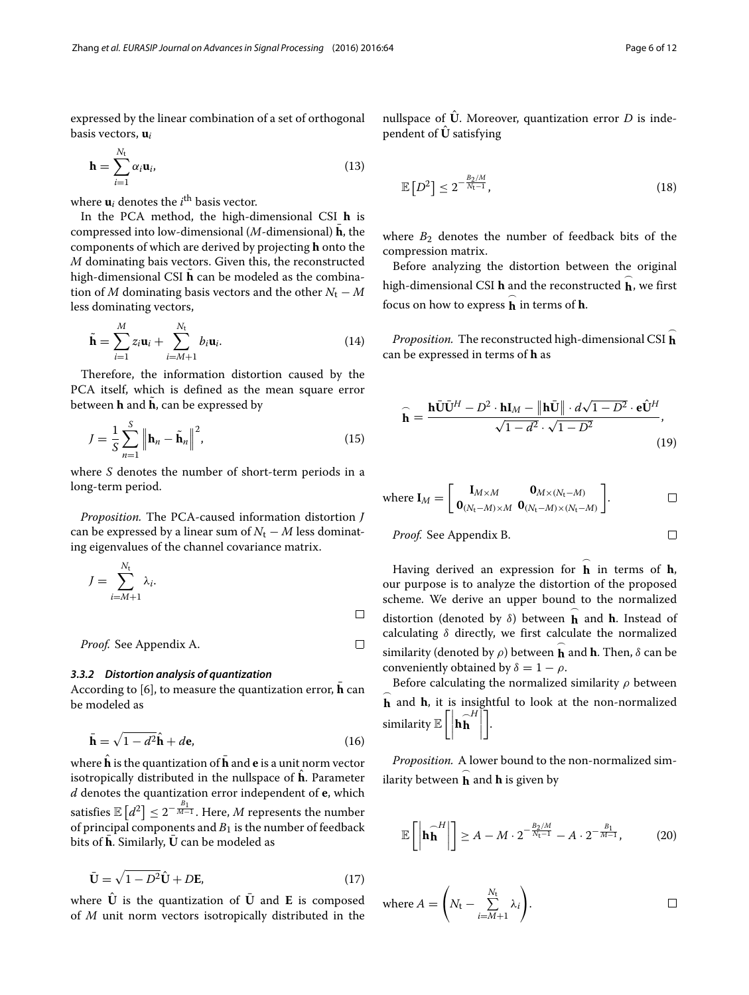expressed by the linear combination of a set of orthogonal basis vectors, **u***<sup>i</sup>*

$$
\mathbf{h} = \sum_{i=1}^{N_{\rm t}} \alpha_i \mathbf{u}_i, \tag{13}
$$

where  $\mathbf{u}_i$  denotes the  $i^{\text{th}}$  basis vector.

In the PCA method, the high-dimensional CSI **h** is compressed into low-dimensional  $(M$ -dimensional)  $\bf{h}$ , the components of which are derived by projecting **h** onto the *M* dominating bais vectors. Given this, the reconstructed high-dimensional CSI **h** can be modeled as the combination of *M* dominating basis vectors and the other  $N_t - M$ less dominating vectors,

<span id="page-5-1"></span>
$$
\tilde{\mathbf{h}} = \sum_{i=1}^{M} z_i \mathbf{u}_i + \sum_{i=M+1}^{N_{\rm t}} b_i \mathbf{u}_i.
$$
 (14)

Therefore, the information distortion caused by the PCA itself, which is defined as the mean square error between **h** and **h**, can be expressed by

$$
J = \frac{1}{S} \sum_{n=1}^{S} \left\| \mathbf{h}_n - \tilde{\mathbf{h}}_n \right\|^2, \tag{15}
$$

where *S* denotes the number of short-term periods in a long-term period.

*Proposition.* The PCA-caused information distortion *J* can be expressed by a linear sum of  $N_t - M$  less dominating eigenvalues of the channel covariance matrix.

$$
J=\sum_{i=M+1}^{N_{\mathrm{t}}} \lambda_i.
$$

 $\Box$ 

*Proof.* See Appendix [A.](#page-9-0)

#### *3.3.2 Distortion analysis of quantization*

<span id="page-5-2"></span>According to [\[6\]](#page-11-5), to measure the quantization error,  $\overline{\mathbf{h}}$  can be modeled as

$$
\bar{\mathbf{h}} = \sqrt{1 - d^2} \hat{\mathbf{h}} + d\mathbf{e},\tag{16}
$$

where **h** is the quantization of **h** and **e** is a unit norm vector isotropically distributed in the nullspace of  $\hat{h}$ . Parameter *d* denotes the quantization error independent of **e**, which satisfies  $\mathbb{E}\left[d^2\right]\leq 2^{-\frac{B_1}{M-1}}.$  Here,  $M$  represents the number of principal components and  $B_1$  is the number of feedback bits of  $\bf{h}$ . Similarly,  $\bf{U}$  can be modeled as

<span id="page-5-3"></span>
$$
\bar{\mathbf{U}} = \sqrt{1 - D^2} \hat{\mathbf{U}} + D \mathbf{E},\tag{17}
$$

where  $\hat{\mathbf{U}}$  is the quantization of  $\bar{\mathbf{U}}$  and **E** is composed of *M* unit norm vectors isotropically distributed in the nullspace of  $\hat{U}$ . Moreover, quantization error *D* is independent of **U** satisfying

$$
\mathbb{E}\left[D^2\right] \le 2^{-\frac{B_2/M}{N_t - 1}},\tag{18}
$$

where  $B_2$  denotes the number of feedback bits of the compression matrix.

Before analyzing the distortion between the original high-dimensional CSI **h** and the reconstructed  $\hat{\mathbf{h}}$ , we first focus on how to express  $\widehat{\mathbf{h}}$  in terms of **h**.

*Proposition.* The reconstructed high-dimensional CSI  $\mathbf{\widehat{h}}$ can be expressed in terms of **h** as

$$
\widehat{\mathbf{h}} = \frac{\mathbf{h}\overline{\mathbf{U}}\overline{\mathbf{U}}^H - D^2 \cdot \mathbf{h}\mathbf{I}_M - \|\mathbf{h}\overline{\mathbf{U}}\| \cdot d\sqrt{1 - D^2} \cdot \mathbf{e}\widehat{\mathbf{U}}^H}{\sqrt{1 - d^2} \cdot \sqrt{1 - D^2}},
$$
\n(19)

where 
$$
\mathbf{I}_M = \begin{bmatrix} \mathbf{I}_{M \times M} & \mathbf{0}_{M \times (N_t - M)} \\ \mathbf{0}_{(N_t - M) \times M} & \mathbf{0}_{(N_t - M) \times (N_t - M)} \end{bmatrix}
$$
.

*Proof.* See Appendix B. 
$$
\Box
$$

Having derived an expression for  $\widehat{\mathbf{h}}$  in terms of  $\mathbf{h}$ , our purpose is to analyze the distortion of the proposed scheme. We derive an upper bound to the normalized distortion (denoted by  $\delta$ ) between  $\hat{\mathbf{h}}$  and **h**. Instead of calculating  $\delta$  directly, we first calculate the normalized similarity (denoted by  $\rho$ ) between  $\widehat{\mathbf{h}}$  and  $\mathbf{h}$ . Then,  $\delta$  can be conveniently obtained by  $\delta = 1 - \rho$ .

Before calculating the normalized similarity  $\rho$  between **h** and **h**, it is insightful to look at the non-normalized similarity  $\mathbb{E}\left[\left|\mathbf{h}_{\mathbf{h}}\right|\right]$  $\overline{\phantom{a}}$ *H*  $\mid$ 1 .

*Proposition.* A lower bound to the non-normalized similarity between  $\stackrel{\frown}{\mathbf{h}}$  and  $\mathbf{h}$  is given by

<span id="page-5-0"></span>
$$
\mathbb{E}\left[\left|\mathbf{h}_{\mathbf{h}}^{\mathcal{H}}\right|\right] \geq A - M \cdot 2^{-\frac{B_2/M}{N_{\mathbf{t}}-1}} - A \cdot 2^{-\frac{B_1}{M-1}},\tag{20}
$$

where 
$$
A = \left(N_t - \sum_{i=M+1}^{N_t} \lambda_i\right)
$$
.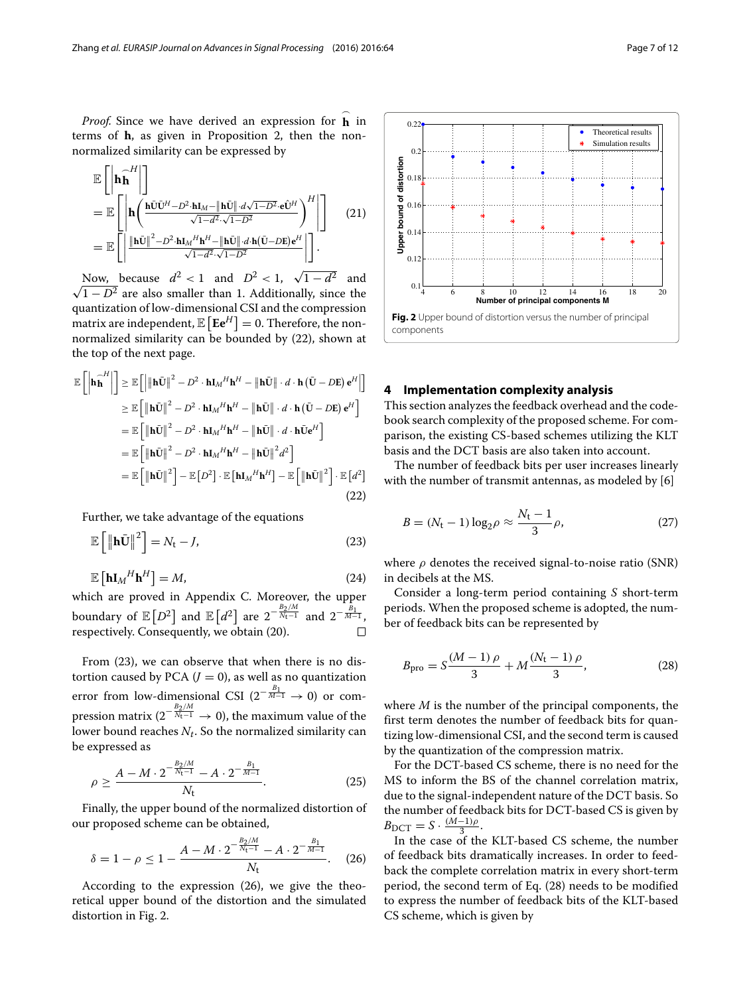*Proof.* Since we have derived an expression for **h** in terms of **h**, as given in Proposition 2, then the nonnormalized similarity can be expressed by

$$
\mathbb{E}\left[\left|\mathbf{h}_{\mathbf{h}}^{H}\right|\right]
$$
\n
$$
= \mathbb{E}\left[\left|\mathbf{h}\left(\frac{\mathbf{h}\bar{\mathbf{U}}\bar{\mathbf{U}}^{H}-D^{2}\cdot\mathbf{h}\mathbf{I}_{M}-\left\|\mathbf{h}\bar{\mathbf{U}}\right\| \cdot d\sqrt{1-D^{2}}\cdot\mathbf{e}\hat{\mathbf{U}}^{H}}{\sqrt{1-d^{2}\cdot\sqrt{1-D^{2}}}}\right)^{H}\right]\right]
$$
\n
$$
= \mathbb{E}\left[\left|\frac{\left\|\mathbf{h}\bar{\mathbf{U}}\right\|^{2}-D^{2}\cdot\mathbf{h}\mathbf{I}_{M}^{H}\mathbf{h}^{H}-\left\|\mathbf{h}\bar{\mathbf{U}}\right\| \cdot d\cdot\mathbf{h}(\bar{\mathbf{U}}-D\mathbf{E})\mathbf{e}^{H}}{\sqrt{1-d^{2}\cdot\sqrt{1-D^{2}}}}\right|\right].
$$
\n(21)

Now, because  $d^2 < 1$  and  $D^2 < 1$ ,  $\sqrt{1-d^2}$  and  $\sqrt{1-D^2}$  are also smaller than 1. Additionally, since the quantization of low-dimensional CSI and the compression matrix are independent,  $\mathbb{E}\left[\mathbf{E}\mathbf{e}^H\right]=0$ . Therefore, the nonnormalized similarity can be bounded by [\(22\)](#page-6-1), shown at the top of the next page.

<span id="page-6-1"></span>
$$
\mathbb{E}\left[\left|\mathbf{h}\widetilde{\mathbf{h}}^{H}\right|\right] \geq \mathbb{E}\left[\left|\left|\left|\mathbf{h}\widetilde{\mathbf{U}}\right|\right|^{2} - D^{2} \cdot \mathbf{h} I_{M}{}^{H} \mathbf{h}^{H} - \left|\left|\mathbf{h}\widetilde{\mathbf{U}}\right|\right| \cdot d \cdot \mathbf{h} \left(\widetilde{\mathbf{U}} - D\mathbf{E}\right) \mathbf{e}^{H}\right|\right]
$$
\n
$$
\geq \mathbb{E}\left[\left|\left|\mathbf{h}\widetilde{\mathbf{U}}\right|\right|^{2} - D^{2} \cdot \mathbf{h} I_{M}{}^{H} \mathbf{h}^{H} - \left|\left|\mathbf{h}\widetilde{\mathbf{U}}\right|\right| \cdot d \cdot \mathbf{h} \left(\widetilde{\mathbf{U}} - D\mathbf{E}\right) \mathbf{e}^{H}\right]
$$
\n
$$
= \mathbb{E}\left[\left|\left|\mathbf{h}\widetilde{\mathbf{U}}\right|\right|^{2} - D^{2} \cdot \mathbf{h} I_{M}{}^{H} \mathbf{h}^{H} - \left|\left|\mathbf{h}\widetilde{\mathbf{U}}\right|\right| \cdot d \cdot \mathbf{h} \widetilde{\mathbf{U}} \mathbf{e}^{H}\right]
$$
\n
$$
= \mathbb{E}\left[\left|\left|\mathbf{h}\widetilde{\mathbf{U}}\right|\right|^{2} - D^{2} \cdot \mathbf{h} I_{M}{}^{H} \mathbf{h}^{H} - \left|\left|\mathbf{h}\widetilde{\mathbf{U}}\right|\right|^{2} d^{2}\right]
$$
\n
$$
= \mathbb{E}\left[\left|\left|\mathbf{h}\widetilde{\mathbf{U}}\right|\right|^{2}\right] - \mathbb{E}\left[D^{2}\right] \cdot \mathbb{E}\left[\mathbf{h} I_{M}{}^{H} \mathbf{h}^{H}\right] - \mathbb{E}\left[\left|\left|\mathbf{h}\widetilde{\mathbf{U}}\right|\right|^{2}\right] \cdot \mathbb{E}\left[d^{2}\right]
$$
\n(22)

Further, we take advantage of the equations

$$
\mathbb{E}\left[\left\|\mathbf{h}\bar{\mathbf{U}}\right\|^2\right] = N_{\mathrm{t}} - J,\tag{23}
$$

<span id="page-6-6"></span>
$$
\mathbb{E}\left[\mathbf{h}\mathbf{I}_M^H\mathbf{h}^H\right] = M,\tag{24}
$$

which are proved in Appendix [C.](#page-10-0) Moreover, the upper boundary of  $\mathbb{E}[D^2]$  and  $\mathbb{E}[d^2]$  are  $2^{-\frac{B_2/M}{N_t-1}}$  and  $2^{-\frac{B_1}{M-1}}$ , respectively. Consequently, we obtain [\(20\)](#page-5-0).  $\Box$ 

From [\(23\)](#page-6-2), we can observe that when there is no distortion caused by PCA  $(J = 0)$ , as well as no quantization error from low-dimensional CSI ( $2^{-\frac{B_1}{M-1}} \to 0$ ) or compression matrix (2<sup>− *B*<sub>2</sub>/*M* → 0), the maximum value of the</sup> lower bound reaches  $N_t$ . So the normalized similarity can be expressed as

$$
\rho \ge \frac{A - M \cdot 2^{-\frac{B_2/M}{N_t - 1}} - A \cdot 2^{-\frac{B_1}{M - 1}}}{N_t}.
$$
\n(25)

Finally, the upper bound of the normalized distortion of our proposed scheme can be obtained,

$$
\delta = 1 - \rho \le 1 - \frac{A - M \cdot 2^{-\frac{B_2/M}{N_{\text{t}} - 1}} - A \cdot 2^{-\frac{B_1}{M - 1}}}{N_{\text{t}}}.
$$
 (26)

According to the expression [\(26\)](#page-6-3), we give the theoretical upper bound of the distortion and the simulated distortion in Fig. [2.](#page-6-4)



#### <span id="page-6-4"></span><span id="page-6-0"></span>**4 Implementation complexity analysis**

This section analyzes the feedback overhead and the codebook search complexity of the proposed scheme. For comparison, the existing CS-based schemes utilizing the KLT basis and the DCT basis are also taken into account.

The number of feedback bits per user increases linearly with the number of transmit antennas, as modeled by [\[6\]](#page-11-5)

$$
B = (Nt - 1) \log_2 \rho \approx \frac{N_t - 1}{3} \rho,
$$
\n(27)

<span id="page-6-2"></span>where  $\rho$  denotes the received signal-to-noise ratio (SNR) in decibels at the MS.

Consider a long-term period containing *S* short-term periods. When the proposed scheme is adopted, the number of feedback bits can be represented by

<span id="page-6-5"></span>
$$
B_{\rm pro} = S \frac{(M-1)\,\rho}{3} + M \frac{(N_{\rm t}-1)\,\rho}{3},\tag{28}
$$

where *M* is the number of the principal components, the first term denotes the number of feedback bits for quantizing low-dimensional CSI, and the second term is caused by the quantization of the compression matrix.

For the DCT-based CS scheme, there is no need for the MS to inform the BS of the channel correlation matrix, due to the signal-independent nature of the DCT basis. So the number of feedback bits for DCT-based CS is given by  $B_{\text{DCT}} = S \cdot \frac{(M-1)\rho}{3}$ .

<span id="page-6-3"></span>In the case of the KLT-based CS scheme, the number of feedback bits dramatically increases. In order to feedback the complete correlation matrix in every short-term period, the second term of Eq. [\(28\)](#page-6-5) needs to be modified to express the number of feedback bits of the KLT-based CS scheme, which is given by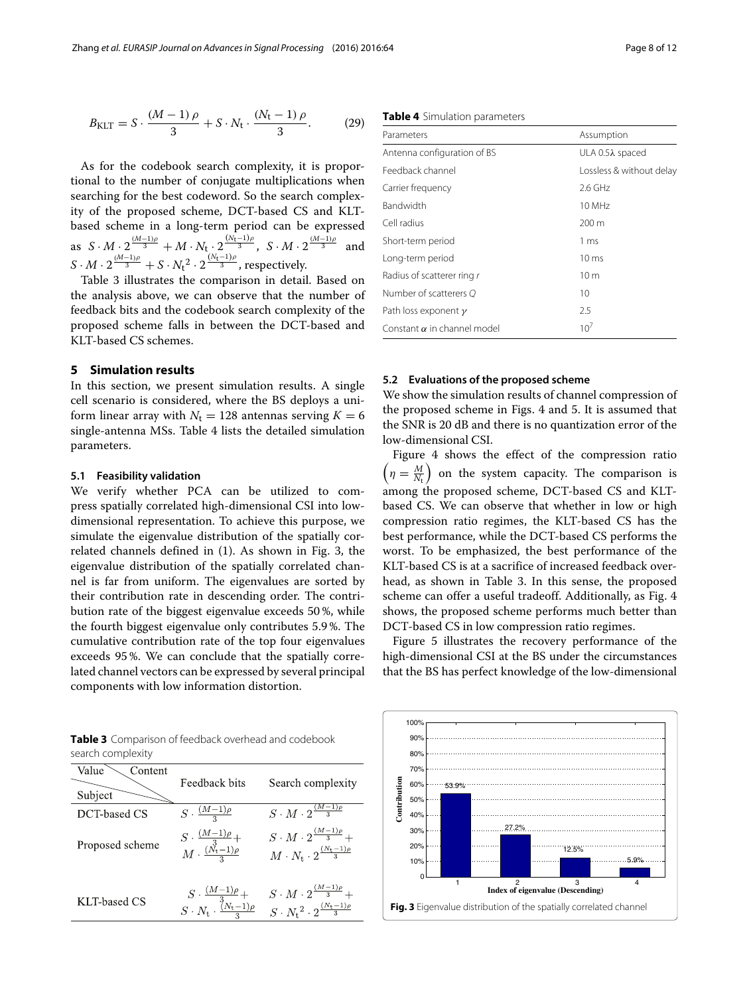$$
B_{\text{KLT}} = S \cdot \frac{(M-1)\,\rho}{3} + S \cdot N_{\text{t}} \cdot \frac{(N_{\text{t}}-1)\,\rho}{3}.\tag{29}
$$

As for the codebook search complexity, it is proportional to the number of conjugate multiplications when searching for the best codeword. So the search complexity of the proposed scheme, DCT-based CS and KLTbased scheme in a long-term period can be expressed as  $S \cdot M \cdot 2^{\frac{(M-1)\rho}{3}} + M \cdot N_t \cdot 2^{\frac{(N_t-1)\rho}{3}}$ ,  $S \cdot M \cdot 2^{\frac{(M-1)\rho}{3}}$  and  $S \cdot M \cdot 2^{\frac{(M-1)\rho}{3}} + S \cdot N_t^2 \cdot 2^{\frac{(N_t-1)\rho}{3}}$ , respectively.

Table [3](#page-7-1) illustrates the comparison in detail. Based on the analysis above, we can observe that the number of feedback bits and the codebook search complexity of the proposed scheme falls in between the DCT-based and KLT-based CS schemes.

#### <span id="page-7-0"></span>**5 Simulation results**

In this section, we present simulation results. A single cell scenario is considered, where the BS deploys a uniform linear array with  $N_t = 128$  antennas serving  $K = 6$ single-antenna MSs. Table [4](#page-7-2) lists the detailed simulation parameters.

#### **5.1 Feasibility validation**

We verify whether PCA can be utilized to compress spatially correlated high-dimensional CSI into lowdimensional representation. To achieve this purpose, we simulate the eigenvalue distribution of the spatially correlated channels defined in (1). As shown in Fig. [3,](#page-7-3) the eigenvalue distribution of the spatially correlated channel is far from uniform. The eigenvalues are sorted by their contribution rate in descending order. The contribution rate of the biggest eigenvalue exceeds 50 %, while the fourth biggest eigenvalue only contributes 5.9 %. The cumulative contribution rate of the top four eigenvalues exceeds 95 %. We can conclude that the spatially correlated channel vectors can be expressed by several principal components with low information distortion.

**Table 3** Comparison of feedback overhead and codebook search complexity

<span id="page-7-1"></span>

| Value<br>Content<br>Subject | Feedback bits                                                                                                       | Search complexity                                                                                           |
|-----------------------------|---------------------------------------------------------------------------------------------------------------------|-------------------------------------------------------------------------------------------------------------|
| DCT-based CS                | $S\cdot\frac{(M-1)\rho}{2}$                                                                                         | $S\cdot M\cdot 2^{\frac{(M-1)\rho}{3}}$                                                                     |
| Proposed scheme             | $S\cdot \frac{(M-1)\rho}{3} + M\cdot \frac{(N_t-1)\rho}{3}$                                                         | $S\cdot M\cdot 2^{\frac{(M-1)\rho}{3}}+$<br>$M \cdot N_{t} \cdot 2^{\frac{(N_{t}-1)\rho}{3}}$               |
| <b>KLT-based CS</b>         | $\begin{array}{c}S\cdot\frac{(M-1)\rho}{3}+\\S\cdot N_{\mathrm{t}}\cdot\frac{(N_{\mathrm{t}}-1)\rho}{2}\end{array}$ | $S\cdot M\cdot 2^{\frac{(M-1)\rho}{3}}+$<br>$S \cdot N_{\rm t}{}^{2} \cdot 2^{\frac{(N_{\rm t}-1)\rho}{3}}$ |

<span id="page-7-2"></span>**Table 4** Simulation parameters

| Parameters                         | Assumption               |  |
|------------------------------------|--------------------------|--|
| Antenna configuration of BS        | ULA $0.5\lambda$ spaced  |  |
| Feedback channel                   | Lossless & without delay |  |
| Carrier frequency                  | $2.6$ GHz                |  |
| <b>Bandwidth</b>                   | 10 MHz                   |  |
| Cell radius                        | $200 \text{ m}$          |  |
| Short-term period                  | $1 \text{ ms}$           |  |
| Long-term period                   | $10 \text{ ms}$          |  |
| Radius of scatterer ring r         | 10 <sub>m</sub>          |  |
| Number of scatterers O             | 10                       |  |
| Path loss exponent $\gamma$        | 2.5                      |  |
| Constant $\alpha$ in channel model | $10^{7}$                 |  |

#### **5.2 Evaluations of the proposed scheme**

We show the simulation results of channel compression of the proposed scheme in Figs. [4](#page-8-1) and [5.](#page-8-2) It is assumed that the SNR is 20 dB and there is no quantization error of the low-dimensional CSI.

Figure [4](#page-8-1) shows the effect of the compression ratio  $\left(\eta = \frac{M}{N_t}\right)$  on the system capacity. The comparison is among the proposed scheme, DCT-based CS and KLTbased CS. We can observe that whether in low or high compression ratio regimes, the KLT-based CS has the best performance, while the DCT-based CS performs the worst. To be emphasized, the best performance of the KLT-based CS is at a sacrifice of increased feedback overhead, as shown in Table [3.](#page-7-1) In this sense, the proposed scheme can offer a useful tradeoff. Additionally, as Fig. [4](#page-8-1) shows, the proposed scheme performs much better than DCT-based CS in low compression ratio regimes.

Figure [5](#page-8-2) illustrates the recovery performance of the high-dimensional CSI at the BS under the circumstances that the BS has perfect knowledge of the low-dimensional

<span id="page-7-3"></span>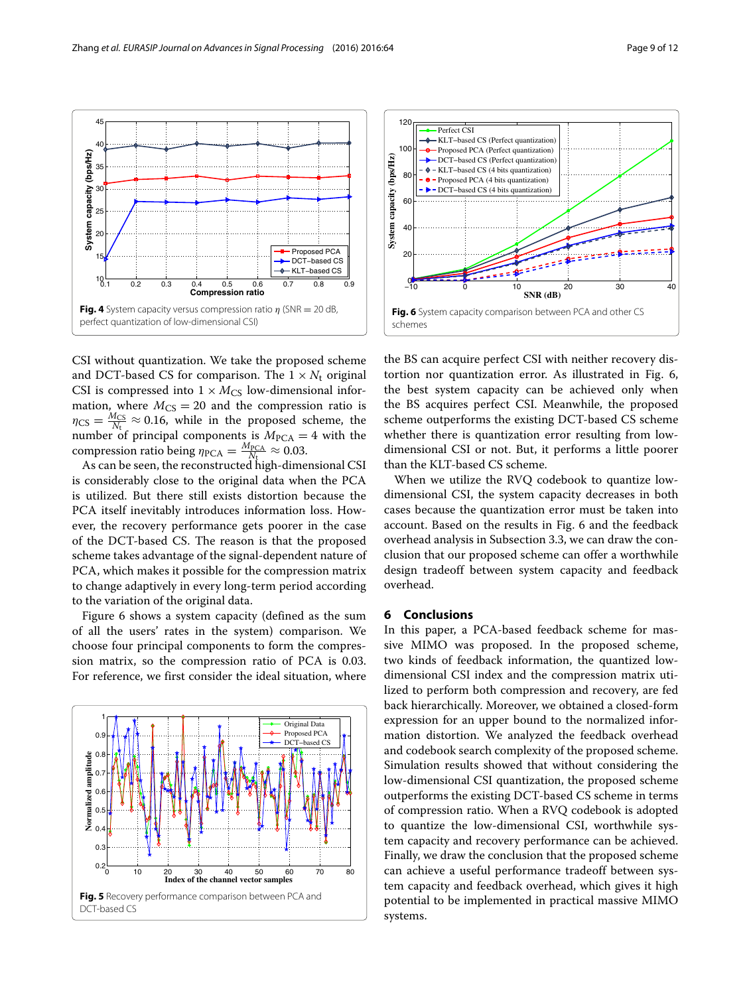

<span id="page-8-1"></span>CSI without quantization. We take the proposed scheme and DCT-based CS for comparison. The  $1 \times N_t$  original CSI is compressed into  $1 \times M_{CS}$  low-dimensional information, where  $M_{\text{CS}} = 20$  and the compression ratio is  $\eta_{\text{CS}} = \frac{M_{\text{CS}}}{N_{\text{t}}} \approx 0.16$ , while in the proposed scheme, the number of principal components is  $M_{PCA} = 4$  with the compression ratio being  $\eta_{\text{PCA}} = \frac{M_{\text{PCA}}}{N_{\text{t}}} \approx 0.03$ .

As can be seen, the reconstructed high-dimensional CSI is considerably close to the original data when the PCA is utilized. But there still exists distortion because the PCA itself inevitably introduces information loss. However, the recovery performance gets poorer in the case of the DCT-based CS. The reason is that the proposed scheme takes advantage of the signal-dependent nature of PCA, which makes it possible for the compression matrix to change adaptively in every long-term period according to the variation of the original data.

Figure [6](#page-8-3) shows a system capacity (defined as the sum of all the users' rates in the system) comparison. We choose four principal components to form the compression matrix, so the compression ratio of PCA is 0.03. For reference, we first consider the ideal situation, where

<span id="page-8-2"></span>



<span id="page-8-3"></span>the BS can acquire perfect CSI with neither recovery distortion nor quantization error. As illustrated in Fig. [6,](#page-8-3) the best system capacity can be achieved only when the BS acquires perfect CSI. Meanwhile, the proposed scheme outperforms the existing DCT-based CS scheme whether there is quantization error resulting from lowdimensional CSI or not. But, it performs a little poorer than the KLT-based CS scheme.

When we utilize the RVQ codebook to quantize lowdimensional CSI, the system capacity decreases in both cases because the quantization error must be taken into account. Based on the results in Fig. [6](#page-8-3) and the feedback overhead analysis in Subsection [3.3,](#page-4-2) we can draw the conclusion that our proposed scheme can offer a worthwhile design tradeoff between system capacity and feedback overhead.

#### <span id="page-8-0"></span>**6 Conclusions**

In this paper, a PCA-based feedback scheme for massive MIMO was proposed. In the proposed scheme, two kinds of feedback information, the quantized lowdimensional CSI index and the compression matrix utilized to perform both compression and recovery, are fed back hierarchically. Moreover, we obtained a closed-form expression for an upper bound to the normalized information distortion. We analyzed the feedback overhead and codebook search complexity of the proposed scheme. Simulation results showed that without considering the low-dimensional CSI quantization, the proposed scheme outperforms the existing DCT-based CS scheme in terms of compression ratio. When a RVQ codebook is adopted to quantize the low-dimensional CSI, worthwhile system capacity and recovery performance can be achieved. Finally, we draw the conclusion that the proposed scheme can achieve a useful performance tradeoff between system capacity and feedback overhead, which gives it high potential to be implemented in practical massive MIMO systems.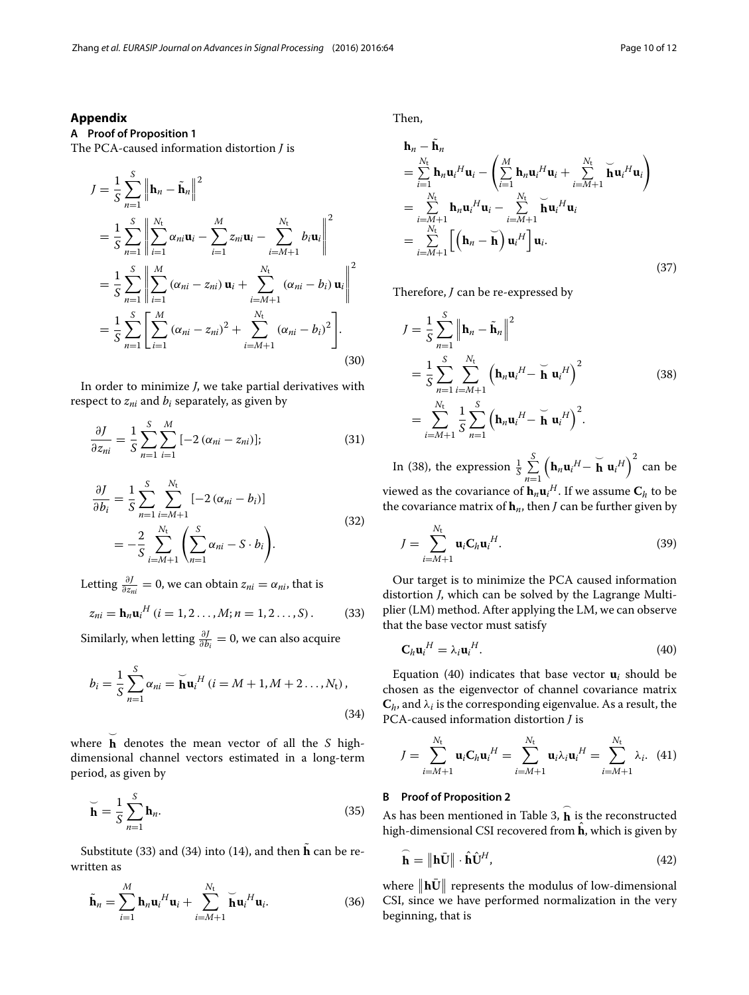#### **Appendix**

#### **A Proof of Proposition 1**

<span id="page-9-0"></span>The PCA-caused information distortion *J* is

$$
J = \frac{1}{S} \sum_{n=1}^{S} \left\| \mathbf{h}_{n} - \tilde{\mathbf{h}}_{n} \right\|^{2}
$$
  
\n
$$
= \frac{1}{S} \sum_{n=1}^{S} \left\| \sum_{i=1}^{N_{t}} \alpha_{ni} \mathbf{u}_{i} - \sum_{i=1}^{M} z_{ni} \mathbf{u}_{i} - \sum_{i=M+1}^{N_{t}} b_{i} \mathbf{u}_{i} \right\|^{2}
$$
  
\n
$$
= \frac{1}{S} \sum_{n=1}^{S} \left\| \sum_{i=1}^{M} (\alpha_{ni} - z_{ni}) \mathbf{u}_{i} + \sum_{i=M+1}^{N_{t}} (\alpha_{ni} - b_{i}) \mathbf{u}_{i} \right\|^{2}
$$
  
\n
$$
= \frac{1}{S} \sum_{n=1}^{S} \left[ \sum_{i=1}^{M} (\alpha_{ni} - z_{ni})^{2} + \sum_{i=M+1}^{N_{t}} (\alpha_{ni} - b_{i})^{2} \right].
$$
\n(30)

In order to minimize *J*, we take partial derivatives with respect to  $z_{ni}$  and  $b_i$  separately, as given by

$$
\frac{\partial J}{\partial z_{ni}} = \frac{1}{S} \sum_{n=1}^{S} \sum_{i=1}^{M} [-2 (\alpha_{ni} - z_{ni})];
$$
 (31)

$$
\frac{\partial J}{\partial b_i} = \frac{1}{S} \sum_{n=1}^{S} \sum_{i=M+1}^{N_t} [-2(\alpha_{ni} - b_i)]
$$
  
= 
$$
-\frac{2}{S} \sum_{i=M+1}^{N_t} \left( \sum_{n=1}^{S} \alpha_{ni} - S \cdot b_i \right).
$$
 (32)

Letting  $\frac{\partial J}{\partial z_{ni}} = 0$ , we can obtain  $z_{ni} = \alpha_{ni}$ , that is

$$
z_{ni} = \mathbf{h}_n \mathbf{u}_i^H \ (i = 1, 2 \dots, M; n = 1, 2 \dots, S) \,. \tag{33}
$$

Similarly, when letting  $\frac{\partial J}{\partial b_i} = 0$ , we can also acquire

$$
b_{i} = \frac{1}{S} \sum_{n=1}^{S} \alpha_{ni} = \mathbf{h} \mathbf{u}_{i}^{H} (i = M + 1, M + 2..., N_{t}),
$$
\n(34)

where  $\overrightarrow{\mathbf{h}}$  denotes the mean vector of all the *S* highdimensional channel vectors estimated in a long-term period, as given by

$$
\widetilde{\mathbf{h}} = \frac{1}{S} \sum_{n=1}^{S} \mathbf{h}_n.
$$
 (35)

Substitute [\(33\)](#page-9-2) and [\(34\)](#page-9-3) into [\(14\)](#page-5-1), and then  $\hat{\bf h}$  can be rewritten as

$$
\tilde{\mathbf{h}}_n = \sum_{i=1}^M \mathbf{h}_n \mathbf{u}_i^H \mathbf{u}_i + \sum_{i=M+1}^{N_t} \breve{\mathbf{h}} \mathbf{u}_i^H \mathbf{u}_i.
$$
 (36)

Then,

$$
\mathbf{h}_{n} - \mathbf{h}_{n}
$$
\n
$$
= \sum_{i=1}^{N_{\mathrm{t}}} \mathbf{h}_{n} \mathbf{u}_{i}^{H} \mathbf{u}_{i} - \left( \sum_{i=1}^{M} \mathbf{h}_{n} \mathbf{u}_{i}^{H} \mathbf{u}_{i} + \sum_{i=M+1}^{N_{\mathrm{t}}} \mathbf{h} \mathbf{u}_{i}^{H} \mathbf{u}_{i} \right)
$$
\n
$$
= \sum_{i=M+1}^{N_{\mathrm{t}}} \mathbf{h}_{n} \mathbf{u}_{i}^{H} \mathbf{u}_{i} - \sum_{i=M+1}^{N_{\mathrm{t}}} \mathbf{h} \mathbf{u}_{i}^{H} \mathbf{u}_{i}
$$
\n
$$
= \sum_{i=M+1}^{N_{\mathrm{t}}} \left[ \left( \mathbf{h}_{n} - \mathbf{h} \right) \mathbf{u}_{i}^{H} \right] \mathbf{u}_{i}.
$$
\n(37)

Therefore, *J* can be re-expressed by

<span id="page-9-4"></span>
$$
J = \frac{1}{S} \sum_{n=1}^{S} \left\| \mathbf{h}_n - \tilde{\mathbf{h}}_n \right\|^2
$$
  
= 
$$
\frac{1}{S} \sum_{n=1}^{S} \sum_{i=M+1}^{N_t} \left( \mathbf{h}_n \mathbf{u}_i^H - \tilde{\mathbf{h}} \mathbf{u}_i^H \right)^2
$$
  
= 
$$
\sum_{i=M+1}^{N_t} \frac{1}{S} \sum_{n=1}^{S} \left( \mathbf{h}_n \mathbf{u}_i^H - \tilde{\mathbf{h}} \mathbf{u}_i^H \right)^2.
$$
 (38)

In [\(38\)](#page-9-4), the expression  $\frac{1}{S} \sum_{i=1}^{S}$ *n*=1  $\left(\mathbf{h}_{n}\mathbf{u}_{i}^{H}-\overrightarrow{\mathbf{h}}\mathbf{u}_{i}^{H}\right)^{2}$  can be viewed as the covariance of  $\mathbf{h}_{n} \mathbf{u}_{i}{}^{H}$ . If we assume  $\mathbf{C}_{h}$  to be the covariance matrix of  $\mathbf{h}_n$ , then *J* can be further given by

$$
J = \sum_{i=M+1}^{N_{\rm t}} \mathbf{u}_i \mathbf{C}_h \mathbf{u}_i{}^H.
$$
 (39)

<span id="page-9-2"></span>Our target is to minimize the PCA caused information distortion *J*, which can be solved by the Lagrange Multiplier (LM) method. After applying the LM, we can observe that the base vector must satisfy

<span id="page-9-5"></span>
$$
\mathbf{C}_h \mathbf{u}_i^H = \lambda_i \mathbf{u}_i^H. \tag{40}
$$

<span id="page-9-3"></span>Equation [\(40\)](#page-9-5) indicates that base vector  $\mathbf{u}_i$  should be chosen as the eigenvector of channel covariance matrix  $C_h$ , and  $\lambda_i$  is the corresponding eigenvalue. As a result, the PCA-caused information distortion *J* is

$$
J = \sum_{i=M+1}^{N_{\rm t}} \mathbf{u}_i \mathbf{C}_h \mathbf{u}_i^H = \sum_{i=M+1}^{N_{\rm t}} \mathbf{u}_i \lambda_i \mathbf{u}_i^H = \sum_{i=M+1}^{N_{\rm t}} \lambda_i. \tag{41}
$$

#### **B Proof of Proposition 2**

<span id="page-9-1"></span>As has been mentioned in Table [3,](#page-7-1)  $\stackrel{\frown}{\mathbf{h}}$  is the reconstructed high-dimensional CSI recovered from **h**ˆ, which is given by

<span id="page-9-7"></span><span id="page-9-6"></span>
$$
\widehat{\mathbf{h}} = \|\mathbf{h}\bar{\mathbf{U}}\| \cdot \widehat{\mathbf{h}}\widehat{\mathbf{U}}^H, \tag{42}
$$

where  $\left\Vert \mathbf{h}\bar{\mathbf{U}}\right\Vert$  represents the modulus of low-dimensional CSI, since we have performed normalization in the very beginning, that is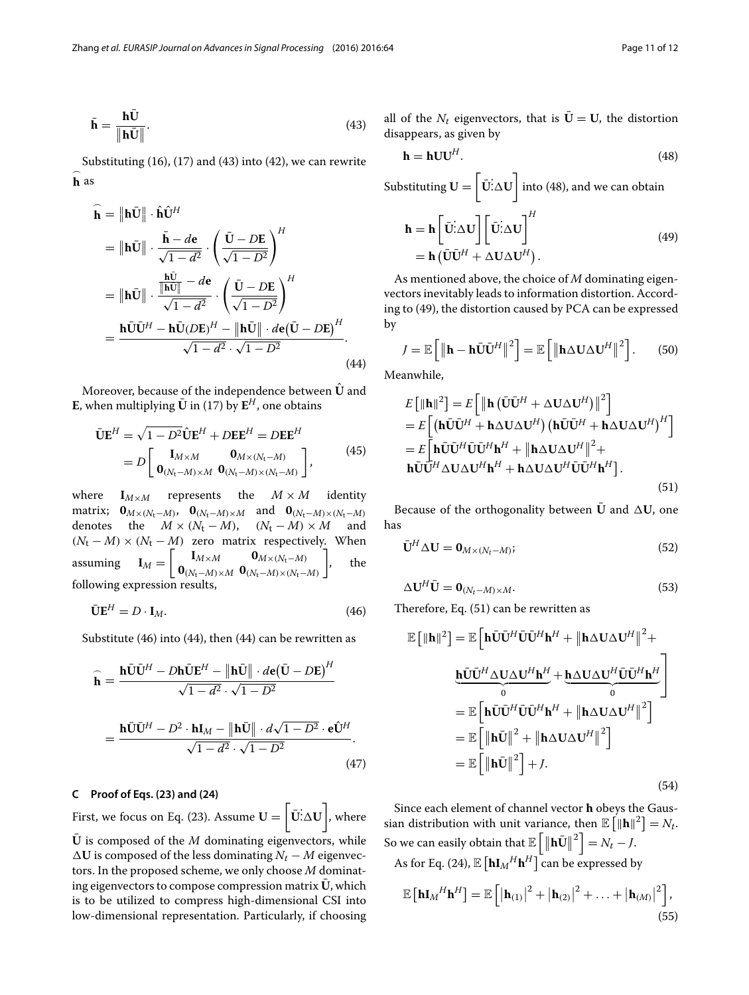$$
\bar{\mathbf{h}} = \frac{\mathbf{h}\bar{\mathbf{U}}}{\|\mathbf{h}\bar{\mathbf{U}}\|}.
$$
\n(43)

Substituting  $(16)$ ,  $(17)$  and  $(43)$  into  $(42)$ , we can rewrite **h** as

<span id="page-10-2"></span>
$$
\hat{\mathbf{h}} = \|\mathbf{h}\bar{\mathbf{U}}\| \cdot \hat{\mathbf{h}}\hat{\mathbf{U}}^H
$$
\n
$$
= \|\mathbf{h}\bar{\mathbf{U}}\| \cdot \frac{\bar{\mathbf{h}} - d\mathbf{e}}{\sqrt{1 - d^2}} \cdot \left(\frac{\bar{\mathbf{U}} - D\mathbf{E}}{\sqrt{1 - D^2}}\right)^H
$$
\n
$$
= \|\mathbf{h}\bar{\mathbf{U}}\| \cdot \frac{\frac{\mathbf{h}\bar{\mathbf{U}}}{\|\mathbf{h}\bar{\mathbf{U}}\|} - d\mathbf{e}}{\sqrt{1 - d^2}} \cdot \left(\frac{\bar{\mathbf{U}} - D\mathbf{E}}{\sqrt{1 - D^2}}\right)^H
$$
\n
$$
= \frac{\mathbf{h}\bar{\mathbf{U}}\bar{\mathbf{U}}^H - \mathbf{h}\bar{\mathbf{U}}(D\mathbf{E})^H - \|\mathbf{h}\bar{\mathbf{U}}\| \cdot d\mathbf{e}(\bar{\mathbf{U}} - D\mathbf{E})^H}{\sqrt{1 - d^2} \cdot \sqrt{1 - D^2}}.
$$
\n(44)

Moreover, because of the independence between **U**ˆ and **E**, when multiplying  $\bar{U}$  in [\(17\)](#page-5-3) by  $E^H$ , one obtains

$$
\begin{split} \tilde{\mathbf{U}} \mathbf{E}^{H} &= \sqrt{1 - D^{2}} \hat{\mathbf{U}} \mathbf{E}^{H} + D \mathbf{E} \mathbf{E}^{H} = D \mathbf{E} \mathbf{E}^{H} \\ &= D \begin{bmatrix} \mathbf{I}_{M \times M} & \mathbf{0}_{M \times (N_{t} - M)} \\ \mathbf{0}_{(N_{t} - M) \times M} & \mathbf{0}_{(N_{t} - M) \times (N_{t} - M)} \end{bmatrix}, \end{split} \tag{45}
$$

where  $\mathbf{I}_{M \times M}$  represents the  $M \times M$  identity matrix;  $\mathbf{0}_{M \times (N_t - M)}$ ,  $\mathbf{0}_{(N_t - M) \times M}$  and  $\mathbf{0}_{(N_t - M) \times (N_t - M)}$ <br>denotes the  $M \times (N_t - M)$ ,  $(N_t - M) \times M$  and the  $M \times (N_t - M)$ ,  $(N_t - M) \times M$  $(N_t - M) \times (N_t - M)$  zero matrix respectively. When  $assuming$  $\int$  **I**<sub>*M*×*M*</sub> **0***M*×(*N*<sub>t</sub>−*M*) **0**(*N*t−*M*)×*<sup>M</sup>* **0**(*N*t−*M*)×(*N*t−*M*) 1 , the following expression results,

<span id="page-10-1"></span>
$$
\bar{\mathbf{U}}\mathbf{E}^H = D \cdot \mathbf{I}_M. \tag{46}
$$

Substitute [\(46\)](#page-10-1) into [\(44\)](#page-10-2), then [\(44\)](#page-10-2) can be rewritten as

$$
\hat{\mathbf{h}} = \frac{\mathbf{h}\bar{\mathbf{U}}\bar{\mathbf{U}}^H - D\mathbf{h}\bar{\mathbf{U}}\mathbf{E}^H - \|\mathbf{h}\bar{\mathbf{U}}\| \cdot d\mathbf{e}(\bar{\mathbf{U}} - D\mathbf{E})^H}{\sqrt{1 - d^2} \cdot \sqrt{1 - D^2}}
$$

$$
= \frac{\mathbf{h}\bar{\mathbf{U}}\bar{\mathbf{U}}^H - D^2 \cdot \mathbf{h}\mathbf{I}_M - \|\mathbf{h}\bar{\mathbf{U}}\| \cdot d\sqrt{1 - D^2} \cdot \mathbf{e}\hat{\mathbf{U}}^H}{\sqrt{1 - d^2} \cdot \sqrt{1 - D^2}}.
$$
(47)

#### **C Proof of Eqs. [\(23\)](#page-6-2) and [\(24\)](#page-6-6)**

<span id="page-10-0"></span>First, we focus on Eq. [\(23\)](#page-6-2). Assume  $\mathbf{U} = \begin{bmatrix} \bar{\mathbf{U}}\dot{\cdot}\Delta\mathbf{U} \end{bmatrix}$ , where

 $\bar{U}$  is composed of the *M* dominating eigenvectors, while  $\Delta$ **U** is composed of the less dominating  $N_t - M$  eigenvectors. In the proposed scheme, we only choose *M* dominating eigenvectors to compose compression matrix  $\bar{U}$ , which is to be utilized to compress high-dimensional CSI into low-dimensional representation. Particularly, if choosing all of the  $N_t$  eigenvectors, that is  $\bar{U} = U$ , the distortion disappears, as given by

<span id="page-10-4"></span><span id="page-10-3"></span>
$$
\mathbf{h} = \mathbf{h} \mathbf{U} \mathbf{U}^H. \tag{48}
$$

Substituting 
$$
\mathbf{U} = \left[\vec{\mathbf{U}}:\Delta\mathbf{U}\right]
$$
 into (48), and we can obtain  
\n
$$
\mathbf{h} = \mathbf{h} \left[\vec{\mathbf{U}}:\Delta\mathbf{U}\right] \left[\vec{\mathbf{U}}:\Delta\mathbf{U}\right]^H
$$
\n
$$
= \mathbf{h} \left(\vec{\mathbf{U}}\vec{\mathbf{U}}^H + \Delta\mathbf{U}\Delta\mathbf{U}^H\right).
$$
\n(49)

As mentioned above, the choice of *M* dominating eigenvectors inevitably leads to information distortion. According to [\(49\)](#page-10-4), the distortion caused by PCA can be expressed by

$$
J = \mathbb{E}\left[\left\|\mathbf{h} - \mathbf{h}\bar{\mathbf{U}}\bar{\mathbf{U}}^H\right\|^2\right] = \mathbb{E}\left[\left\|\mathbf{h}\Delta\mathbf{U}\Delta\mathbf{U}^H\right\|^2\right].\tag{50}
$$

Meanwhile,

<span id="page-10-5"></span>
$$
E[\|\mathbf{h}\|^2] = E\left[\|\mathbf{h}(\bar{\mathbf{U}}\bar{\mathbf{U}}^H + \Delta \mathbf{U}\Delta \mathbf{U}^H)\|^2\right]
$$
  
\n
$$
= E\left[\left(\mathbf{h}\bar{\mathbf{U}}\bar{\mathbf{U}}^H + \mathbf{h}\Delta \mathbf{U}\Delta \mathbf{U}^H\right)\left(\mathbf{h}\bar{\mathbf{U}}\bar{\mathbf{U}}^H + \mathbf{h}\Delta \mathbf{U}\Delta \mathbf{U}^H\right)^H\right]
$$
  
\n
$$
= E\left[\mathbf{h}\bar{\mathbf{U}}\bar{\mathbf{U}}^H\bar{\mathbf{U}}\bar{\mathbf{U}}^H\mathbf{h}^H + \|\mathbf{h}\Delta \mathbf{U}\Delta \mathbf{U}^H\|^2 + \mathbf{h}\bar{\mathbf{U}}\bar{\mathbf{U}}^H\mathbf{h}^H + \mathbf{h}\Delta \mathbf{U}\Delta \mathbf{U}^H\bar{\mathbf{U}}\bar{\mathbf{U}}^H\mathbf{h}^H\right].
$$
  
\n(51)

Because of the orthogonality between  $\overline{U}$  and  $\Delta U$ , one has

$$
\bar{\mathbf{U}}^H \Delta \mathbf{U} = \mathbf{0}_{M \times (N_t - M)}; \tag{52}
$$

$$
\Delta \mathbf{U}^H \bar{\mathbf{U}} = \mathbf{0}_{(N_t - M) \times M}.
$$
\n(53)

Therefore, Eq. [\(51\)](#page-10-5) can be rewritten as

$$
\mathbb{E}\left[\|\mathbf{h}\|^{2}\right] = \mathbb{E}\left[\mathbf{h}\bar{\mathbf{U}}\bar{\mathbf{U}}^{H}\bar{\mathbf{U}}\bar{\mathbf{U}}^{H}\mathbf{h}^{H} + \|\mathbf{h}\Delta\mathbf{U}\Delta\mathbf{U}^{H}\|^{2} + \frac{\mathbf{h}\bar{\mathbf{U}}\bar{\mathbf{U}}^{H}\Delta\mathbf{U}\Delta\mathbf{U}^{H}\mathbf{h}^{H}}{\delta} + \frac{\mathbf{h}\Delta\mathbf{U}\Delta\mathbf{U}^{H}\bar{\mathbf{U}}\bar{\mathbf{U}}^{H}\mathbf{h}^{H}}{\delta}\right]
$$
\n
$$
= \mathbb{E}\left[\mathbf{h}\bar{\mathbf{U}}\bar{\mathbf{U}}^{H}\bar{\mathbf{U}}\bar{\mathbf{U}}^{H}\mathbf{h}^{H} + \|\mathbf{h}\Delta\mathbf{U}\Delta\mathbf{U}^{H}\|^{2}\right]
$$
\n
$$
= \mathbb{E}\left[\|\mathbf{h}\bar{\mathbf{U}}\|^{2} + \|\mathbf{h}\Delta\mathbf{U}\Delta\mathbf{U}^{H}\|^{2}\right]
$$
\n
$$
= \mathbb{E}\left[\|\mathbf{h}\bar{\mathbf{U}}\|^{2}\right] + J.
$$
\n(54)

Since each element of channel vector **h** obeys the Gaussian distribution with unit variance, then  $\mathbb{E} \left[ \|\mathbf{h}\|^2 \right] = N_t$ . So we can easily obtain that  $\mathbb{E}\left[\left\Vert \mathbf{h}\bar{\mathbf{U}}\right\Vert ^{2}\right]=N_{t}-J.$ As for Eq. [\(24\)](#page-6-6),  $\mathbb{E}\left[\mathbf{h}\mathbf{I}_{M}{}^{H}\mathbf{h}^{H}\right]$  can be expressed by  $\mathbb{E}\left[\mathbf{h}\mathbf{I}_M^H\mathbf{h}^H\right] = \mathbb{E}\left[\left|\mathbf{h}_{(1)}\right|^2 + \left|\mathbf{h}_{(2)}\right|^2 + \ldots + \left|\mathbf{h}_{(M)}\right|^2\right],$ 

(55)